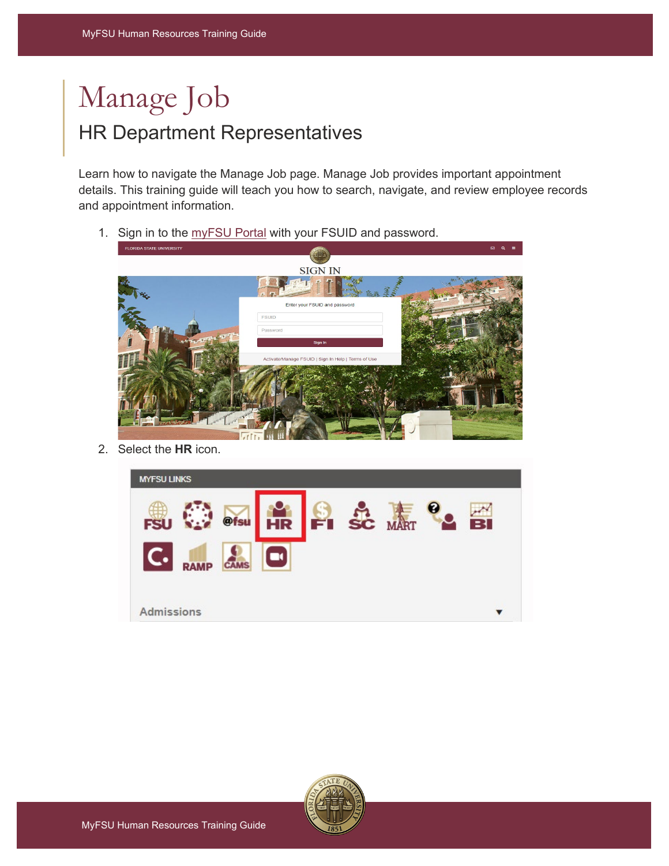## Manage Job HR Department Representatives

Learn how to navigate the Manage Job page. Manage Job provides important appointment details. This training guide will teach you how to search, navigate, and review employee records and appointment information.

1. Sign in to the [myFSU Portal](https://www.my.fsu.edu/) with your FSUID and password.



2. Select the **HR** icon.



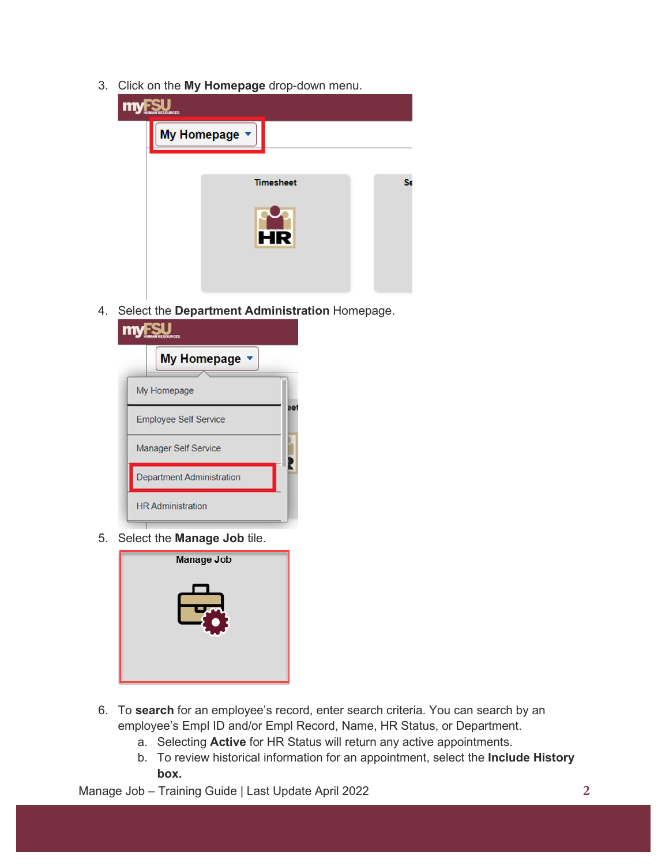3. Click on the **My Homepage** drop-down menu.



4. Select the **Department Administration** Homepage.



5. Select the **Manage Job** tile.



- 6. To **search** for an employee's record, enter search criteria. You can search by an employee's Empl ID and/or Empl Record, Name, HR Status, or Department.
	- a. Selecting **Active** for HR Status will return any active appointments.
	- b. To review historical information for an appointment, select the **Include History box.**

Manage Job – Training Guide | Last Update April 2022 **2**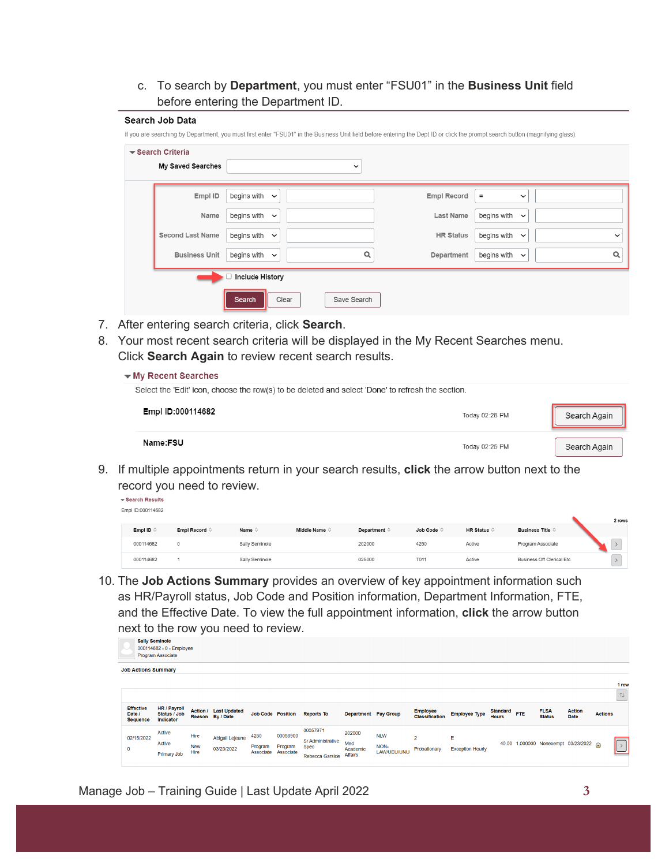c. To search by **Department**, you must enter "FSU01" in the **Business Unit** field before entering the Department ID.

| Search Job Data<br>▼ Search Criteria |                            |       |             | If you are searching by Department, you must first enter "FSU01" in the Business Unit field before entering the Dept ID or click the prompt search button (magnifying glass). |                             |             |
|--------------------------------------|----------------------------|-------|-------------|-------------------------------------------------------------------------------------------------------------------------------------------------------------------------------|-----------------------------|-------------|
| My Saved Searches                    |                            |       | $\check{~}$ |                                                                                                                                                                               |                             |             |
| Empl ID                              | begins with $\sim$         |       |             | <b>Empl Record</b>                                                                                                                                                            | $\equiv$<br>$\check{ }$     |             |
| Name                                 | begins with<br>$\check{ }$ |       |             | Last Name                                                                                                                                                                     | begins with<br>$\check{ }$  |             |
| <b>Second Last Name</b>              | begins with<br>$\check{ }$ |       |             | <b>HR Status</b>                                                                                                                                                              | begins with<br>$\checkmark$ | $\check{ }$ |
| <b>Business Unit</b>                 | begins with $\sim$         |       | Q           | Department                                                                                                                                                                    | begins with $\sim$          | Q           |
|                                      | <b>Include History</b>     |       |             |                                                                                                                                                                               |                             |             |
|                                      | Search                     | Clear | Save Search |                                                                                                                                                                               |                             |             |

- 7. After entering search criteria, click **Search**.
- 8. Your most recent search criteria will be displayed in the My Recent Searches menu. Click **Search Again** to review recent search results.

| $\blacktriangleright$ My Recent Searches                                                          |                |              |
|---------------------------------------------------------------------------------------------------|----------------|--------------|
| Select the 'Edit' icon, choose the row(s) to be deleted and select 'Done' to refresh the section. |                |              |
| Empl ID:000114682                                                                                 | Today 02:28 PM | Search Again |
| Name:FSU                                                                                          | Today 02:25 PM | Search Again |

9. If multiple appointments return in your search results, **click** the arrow button next to the record you need to review.

Gearch Results Empl ID:000114682

|                    |                        |                 |                        |                       |                     |           |                           | <b>Z</b> rows |
|--------------------|------------------------|-----------------|------------------------|-----------------------|---------------------|-----------|---------------------------|---------------|
| Empl ID $\Diamond$ | Empl Record $\Diamond$ | Name $\diamond$ | Middle Name $\Diamond$ | Department $\Diamond$ | Job Code $\Diamond$ | HR Status | Business Title $\Diamond$ |               |
| 000114682          |                        | Sally Seminole  |                        | 202000                | 4250                | Active    | Program Associate         |               |
| 000114682          |                        | Sally Seminole  |                        | 025000                | T011                | Active    | Business Off Clerical Etc |               |

10. The **Job Actions Summary** provides an overview of key appointment information such as HR/Payroll status, Job Code and Position information, Department Information, FTE, and the Effective Date. To view the full appointment information, **click** the arrow button next to the row you need to review.

|                                               | <b>Sally Seminole</b><br>000114682 - 0 - Employee<br>Program Associate |                            |                                           |                              |                                  |                                                                        |                                      |                                   |                                   |                              |                                 |     |                                       |                       |                |           |
|-----------------------------------------------|------------------------------------------------------------------------|----------------------------|-------------------------------------------|------------------------------|----------------------------------|------------------------------------------------------------------------|--------------------------------------|-----------------------------------|-----------------------------------|------------------------------|---------------------------------|-----|---------------------------------------|-----------------------|----------------|-----------|
|                                               | <b>Job Actions Summary</b>                                             |                            |                                           |                              |                                  |                                                                        |                                      |                                   |                                   |                              |                                 |     |                                       |                       |                | 1 ro<br>1 |
| <b>Effective</b><br>Date /<br><b>Sequence</b> | HR / Payroll<br>Status / Job<br><b>Indicator</b>                       |                            | Action / Last Updated<br>Reason By / Date |                              | <b>Job Code Position</b>         | <b>Reports To</b>                                                      |                                      | Department Pay Group              | <b>Employee</b><br>Classification | <b>Employee Type</b>         | <b>Standard</b><br><b>Hours</b> | FTE | <b>FLSA</b><br><b>Status</b>          | <b>Action</b><br>Date | <b>Actions</b> |           |
| 02/15/2022<br>$\mathbf 0$                     | Active<br>Active<br>Primary Job                                        | Hire<br><b>New</b><br>Hire | Abigail Lejeune<br>03/23/2022             | 4250<br>Program<br>Associate | 00056900<br>Program<br>Associate | 00057971<br><b>Sr Administrative</b><br><b>Spec</b><br>Rebecca Garside | 202000<br>Med<br>Academic<br>Affairs | <b>NLW</b><br>NON-<br>LAW/UEU/UNU | $\overline{2}$<br>Probationary    | E<br><b>Exception Hourly</b> |                                 |     | 40.00 1.000000 Nonexempt 03/23/2022 @ |                       |                |           |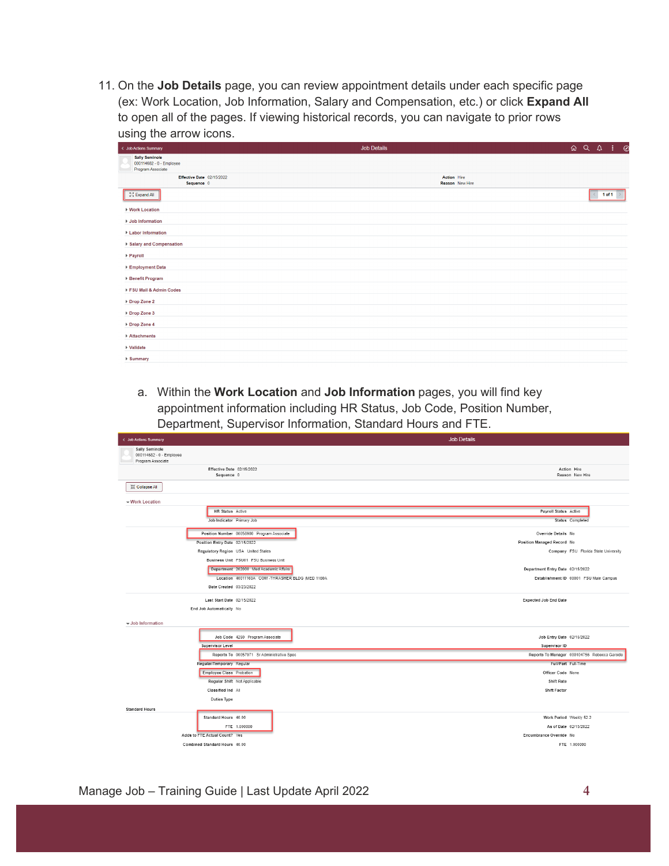11. On the **Job Details** page, you can review appointment details under each specific page (ex: Work Location, Job Information, Salary and Compensation, etc.) or click **Expand All** to open all of the pages. If viewing historical records, you can navigate to prior rows using the arrow icons.

| ÷<br>< Job Actions Summary                                             | Job Details                    | QQ | $\vdots$ $\circ$ |  |
|------------------------------------------------------------------------|--------------------------------|----|------------------|--|
| <b>Sally Seminole</b><br>000114682 - 0 - Employee<br>Program Associate |                                |    |                  |  |
| Effective Date 02/15/2022<br>Sequence 0                                | Action Hire<br>Reason New Hire |    |                  |  |
| ${}_{k\,2}^{\kappa\,3}$ Expand All                                     |                                |    | 1 of 1           |  |
| ▶ Work Location                                                        |                                |    |                  |  |
| ▶ Job Information                                                      |                                |    |                  |  |
| ▶ Labor Information                                                    |                                |    |                  |  |
| ▶ Salary and Compensation                                              |                                |    |                  |  |
| ▶ Payroll                                                              |                                |    |                  |  |
| ▶ Employment Data                                                      |                                |    |                  |  |
| ▶ Benefit Program<br>FSU Mail & Admin Codes                            |                                |    |                  |  |
| ▶ Drop Zone 2                                                          |                                |    |                  |  |
| ▶ Drop Zone 3                                                          |                                |    |                  |  |
| ▶ Drop Zone 4                                                          |                                |    |                  |  |
| ▶ Attachments                                                          |                                |    |                  |  |
| ▶ Validate                                                             |                                |    |                  |  |
| ▶ Summary                                                              |                                |    |                  |  |

a. Within the **Work Location** and **Job Information** pages, you will find key appointment information including HR Status, Job Code, Position Number, Department, Supervisor Information, Standard Hours and FTE.

| < Job Actions Summary                                           | <b>Job Details</b>                           |
|-----------------------------------------------------------------|----------------------------------------------|
| Sally Seminole<br>000114682 - 0 - Employee<br>Program Associate |                                              |
| Effective Date 02/15/2022<br>Sequence 0                         | Action Hire<br>Reason New Hire               |
| ※ Collapse All                                                  |                                              |
| work Location                                                   |                                              |
| HR Status Active                                                | Payroll Status Active                        |
| Job Indicator Primary Job                                       | Status Completed                             |
| Position Number 00056900 Program Associate                      | Override Details No                          |
| Position Entry Date 02/15/2022                                  | Position Managed Record No                   |
| Regulatory Region USA United States                             | Company FSU Florida State University         |
| Business Unit FSU01 FSU Business Unit                           |                                              |
| Department 202000 Med Academic Affairs                          | Department Entry Date 02/15/2022             |
| Location 40011160A COM -THRASHER BLDG (MED 1160A                | Establishment ID 00001 FSU Main Campus       |
| Date Created 03/23/2022                                         |                                              |
| Last Start Date 02/15/2022                                      | <b>Expected Job End Date</b>                 |
| End Job Automatically No                                        |                                              |
| Up Job Information                                              |                                              |
| Job Code 4250 Program Associate                                 | Job Entry Date 02/15/2022                    |
| Supervisor Level                                                | Supervisor ID                                |
| Reports To 00057971 Sr Administrative Spec                      | Reports To Manager 000104756 Rebecca Garside |
| Regular/Temporary Regular                                       | Full/Part Full-Time                          |
| Employee Class Probation                                        | Officer Code None                            |
| Regular Shift Not Applicable                                    | Shift Rate                                   |
| Classified Ind All                                              | <b>Shift Factor</b>                          |
| <b>Duties Type</b>                                              |                                              |
| <b>Standard Hours</b>                                           |                                              |
| Standard Hours 40.00                                            | Work Period Weekly 52.2                      |
| FTE 1.000000                                                    | As of Date 02/15/2022                        |
| Adds to FTE Actual Count? Yes                                   | Encumbrance Override No                      |
| Combined Standard Hours 40.00                                   | FTE 1.000000                                 |